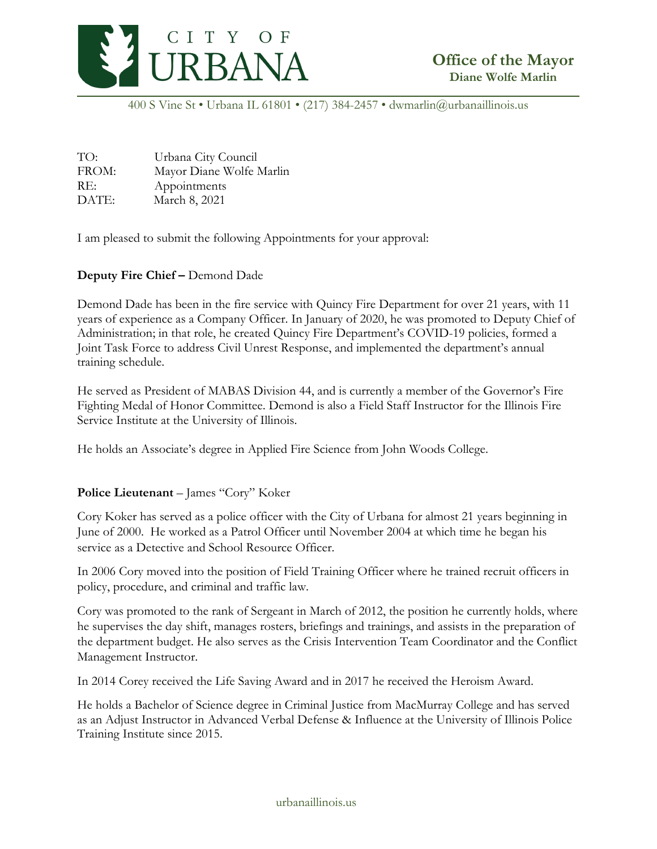

400 S Vine St • Urbana IL 61801 • (217) 384-2457 • dwmarlin@urbanaillinois.us

| TO:   | Urbana City Council      |
|-------|--------------------------|
| FROM: | Mayor Diane Wolfe Marlin |
| RE:   | Appointments             |
| DATE: | March 8, 2021            |

I am pleased to submit the following Appointments for your approval:

## **Deputy Fire Chief –** Demond Dade

Demond Dade has been in the fire service with Quincy Fire Department for over 21 years, with 11 years of experience as a Company Officer. In January of 2020, he was promoted to Deputy Chief of Administration; in that role, he created Quincy Fire Department's COVID-19 policies, formed a Joint Task Force to address Civil Unrest Response, and implemented the department's annual training schedule.

He served as President of MABAS Division 44, and is currently a member of the Governor's Fire Fighting Medal of Honor Committee. Demond is also a Field Staff Instructor for the Illinois Fire Service Institute at the University of Illinois.

He holds an Associate's degree in Applied Fire Science from John Woods College.

## **Police Lieutenant** – James "Cory" Koker

Cory Koker has served as a police officer with the City of Urbana for almost 21 years beginning in June of 2000. He worked as a Patrol Officer until November 2004 at which time he began his service as a Detective and School Resource Officer.

In 2006 Cory moved into the position of Field Training Officer where he trained recruit officers in policy, procedure, and criminal and traffic law.

Cory was promoted to the rank of Sergeant in March of 2012, the position he currently holds, where he supervises the day shift, manages rosters, briefings and trainings, and assists in the preparation of the department budget. He also serves as the Crisis Intervention Team Coordinator and the Conflict Management Instructor.

In 2014 Corey received the Life Saving Award and in 2017 he received the Heroism Award.

He holds a Bachelor of Science degree in Criminal Justice from MacMurray College and has served as an Adjust Instructor in Advanced Verbal Defense & Influence at the University of Illinois Police Training Institute since 2015.